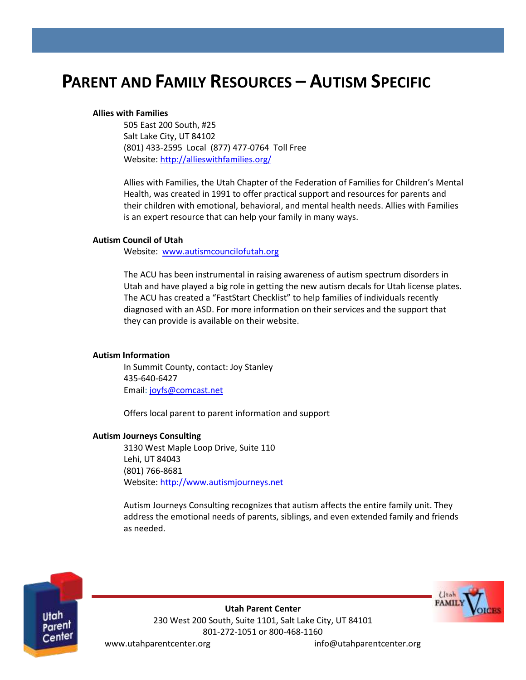# **PARENT AND FAMILY RESOURCES – AUTISM SPECIFIC**

#### **Allies with Families**

505 East 200 South, #25 Salt Lake City, UT 84102 (801) 433-2595 Local (877) 477-0764 Toll Free Website[: http://allieswithfamilies.org/](http://allieswithfamilies.org/)

Allies with Families, the Utah Chapter of the Federation of Families for Children's Mental Health, was created in 1991 to offer practical support and resources for parents and their children with emotional, behavioral, and mental health needs. Allies with Families is an expert resource that can help your family in many ways.

#### **Autism Council of Utah**

Website: [www.autismcouncilofutah.org](http://www.autismcouncilofutah.org/)

The ACU has been instrumental in raising awareness of autism spectrum disorders in Utah and have played a big role in getting the new autism decals for Utah license plates. The ACU has created a "FastStart Checklist" to help families of individuals recently diagnosed with an ASD. For more information on their services and the support that they can provide is available on their website.

# **Autism Information**

In Summit County, contact: Joy Stanley 435-640-6427 Email: [joyfs@comcast.net](mailto:joyfs@comcast.net)

Offers local parent to parent information and support

# **Autism Journeys Consulting**

3130 West Maple Loop Drive, Suite 110 Lehi, UT 84043 (801) 766-8681 Website: http://www.autismjourneys.net

Autism Journeys Consulting recognizes that autism affects the entire family unit. They address the emotional needs of parents, siblings, and even extended family and friends as needed.



**Utah Parent Center** 230 West 200 South, Suite 1101, Salt Lake City, UT 84101 801-272-1051 or 800-468-1160 www.utahparentcenter.org info@utahparentcenter.org  $l$  Ital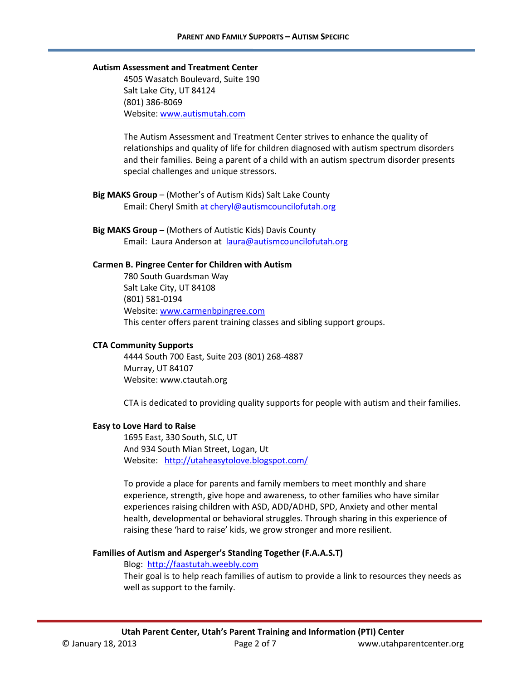#### **Autism Assessment and Treatment Center**

4505 Wasatch Boulevard, Suite 190 Salt Lake City, UT 84124 (801) 386-8069 Website[: www.autismutah.com](http://www.autismutah.com/)

The Autism Assessment and Treatment Center strives to enhance the quality of relationships and quality of life for children diagnosed with autism spectrum disorders and their families. Being a parent of a child with an autism spectrum disorder presents special challenges and unique stressors.

**Big MAKS Group** – (Mother's of Autism Kids) Salt Lake County Email: Cheryl Smith a[t cheryl@autismcouncilofutah.org](mailto:cheryl@autismcouncilofutah.org)

**Big MAKS Group** – (Mothers of Autistic Kids) Davis County Email: Laura Anderson at [laura@autismcouncilofutah.org](mailto:laura@autismcouncilofutah.org)

#### **Carmen B. Pingree Center for Children with Autism**

780 South Guardsman Way Salt Lake City, UT 84108 (801) 581-0194 Website[: www.carmenbpingree.com](http://www.carmenbpingree.com/) This center offers parent training classes and sibling support groups.

#### **CTA Community Supports**

4444 South 700 East, Suite 203 (801) 268-4887 Murray, UT 84107 Website[: www.ctautah.org](http://www.ctautah.org/)

CTA is dedicated to providing quality supports for people with autism and their families.

#### **Easy to Love Hard to Raise**

1695 East, 330 South, SLC, UT And 934 South Mian Street, Logan, Ut Website: <http://utaheasytolove.blogspot.com/>

To provide a place for parents and family members to meet monthly and share experience, strength, give hope and awareness, to other families who have similar experiences raising children with ASD, ADD/ADHD, SPD, Anxiety and other mental health, developmental or behavioral struggles. Through sharing in this experience of raising these 'hard to raise' kids, we grow stronger and more resilient.

#### **Families of Autism and Asperger's Standing Together (F.A.A.S.T)**

#### Blog: [http://faastutah.weebly.com](http://faastutah.weebly.com/)

Their goal is to help reach families of autism to provide a link to resources they needs as well as support to the family.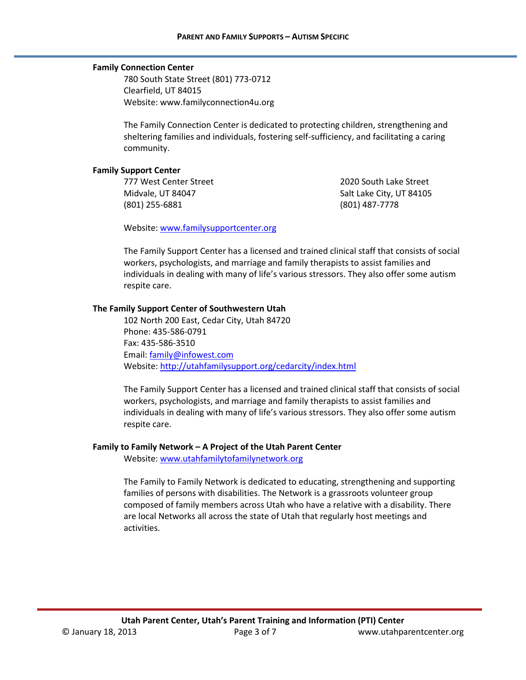# **Family Connection Center**

780 South State Street (801) 773-0712 Clearfield, UT 84015 Website[: www.familyconnection4u.org](http://www.familyconnection4u.org/)

The Family Connection Center is dedicated to protecting children, strengthening and sheltering families and individuals, fostering self-sufficiency, and facilitating a caring community.

#### **Family Support Center**

777 West Center Street Midvale, UT 84047 (801) 255-6881

2020 South Lake Street Salt Lake City, UT 84105 (801) 487-7778

Website[: www.familysupportcenter.org](http://www.familysupportcenter.org/)

The Family Support Center has a licensed and trained clinical staff that consists of social workers, psychologists, and marriage and family therapists to assist families and individuals in dealing with many of life's various stressors. They also offer some autism respite care.

# **The Family Support Center of Southwestern Utah**

102 North 200 East, Cedar City, Utah 84720 Phone: 435-586-0791 Fax: 435-586-3510 Email: [family@infowest.com](mailto:family@infowest.com) Website[: http://utahfamilysupport.org/cedarcity/index.html](http://utahfamilysupport.org/cedarcity/index.html)

The Family Support Center has a licensed and trained clinical staff that consists of social workers, psychologists, and marriage and family therapists to assist families and individuals in dealing with many of life's various stressors. They also offer some autism respite care.

# **Family to Family Network – A Project of the Utah Parent Center**

Website[: www.utahfamilytofamilynetwork.org](http://www.utahfamilytofamilynetwork.org/)

The Family to Family Network is dedicated to educating, strengthening and supporting families of persons with disabilities. The Network is a grassroots volunteer group composed of family members across Utah who have a relative with a disability. There are local Networks all across the state of Utah that regularly host meetings and activities.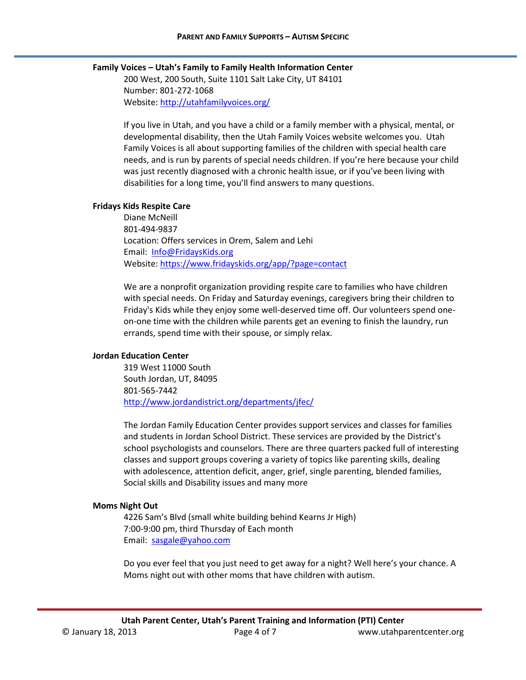# **Family Voices – Utah's Family to Family Health Information Center**

200 West, 200 South, Suite 1101 Salt Lake City, UT 84101 Number: 801-272-1068 Website: <http://utahfamilyvoices.org/>

If you live in Utah, and you have a child or a family member with a physical, mental, or developmental disability, then the Utah Family Voices website welcomes you. Utah Family Voices is all about supporting families of the children with special health care needs, and is run by parents of special needs children. If you're here because your child was just recently diagnosed with a chronic health issue, or if you've been living with disabilities for a long time, you'll find answers to many questions.

#### **Fridays Kids Respite Care**

Diane McNeill 801-494-9837 Location: Offers services in Orem, Salem and Lehi Email: [Info@FridaysKids.org](mailto:Info@FridaysKids.org) Website[: https://www.fridayskids.org/app/?page=contact](https://www.fridayskids.org/app/?page=contact)

We are a nonprofit organization providing respite care to families who have children with special needs. On Friday and Saturday evenings, caregivers bring their children to Friday's Kids while they enjoy some well-deserved time off. Our volunteers spend oneon-one time with the children while parents get an evening to finish the laundry, run errands, spend time with their spouse, or simply relax.

# **Jordan Education Center**

319 West 11000 South South Jordan, UT, 84095 801-565-7442 <http://www.jordandistrict.org/departments/jfec/>

The Jordan Family Education Center provides support services and classes for families and students in Jordan School District. These services are provided by the District's school psychologists and counselors. There are three quarters packed full of interesting classes and support groups covering a variety of topics like parenting skills, dealing with adolescence, attention deficit, anger, grief, single parenting, blended families, Social skills and Disability issues and many more

# **Moms Night Out**

4226 Sam's Blvd (small white building behind Kearns Jr High) 7:00-9:00 pm, third Thursday of Each month Email: [sasgale@yahoo.com](mailto:sasgale@yahoo.com)

Do you ever feel that you just need to get away for a night? Well here's your chance. A Moms night out with other moms that have children with autism.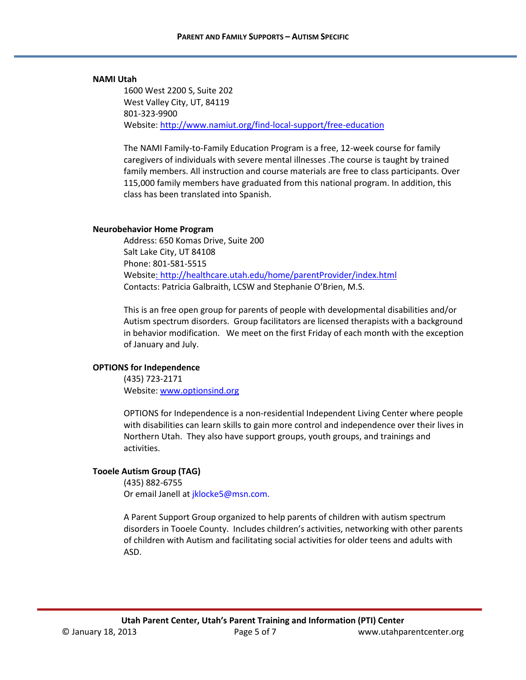#### **NAMI Utah**

1600 West 2200 S, Suite 202 West Valley City, UT, 84119 801-323-9900 Website[: http://www.namiut.org/find-local-support/free-education](http://www.namiut.org/find-local-support/free-education)

The NAMI Family-to-Family Education Program is a free, 12-week course for family caregivers of individuals with severe mental illnesses .The course is taught by trained family members. All instruction and course materials are free to class participants. Over 115,000 family members have graduated from this national program. In addition, this class has been translated into Spanish.

#### **Neurobehavior Home Program**

Address: 650 Komas Drive, Suite 200 Salt Lake City, UT 84108 Phone: 801-581-5515 Website: http://healthcare.utah.edu/home/parentProvider/index.html Contacts: Patricia Galbraith, LCSW and Stephanie O'Brien, M.S.

This is an free open group for parents of people with developmental disabilities and/or Autism spectrum disorders. Group facilitators are licensed therapists with a background in behavior modification. We meet on the first Friday of each month with the exception of January and July.

# **OPTIONS for Independence**

(435) 723-2171 Website[: www.optionsind.org](http://www.optionsind.org/)

OPTIONS for Independence is a non-residential Independent Living Center where people with disabilities can learn skills to gain more control and independence over their lives in Northern Utah. They also have support groups, youth groups, and trainings and activities.

# **Tooele Autism Group (TAG)**

(435) 882-6755 Or email Janell at jklocke5@msn.com.

A Parent Support Group organized to help parents of children with autism spectrum disorders in Tooele County. Includes children's activities, networking with other parents of children with Autism and facilitating social activities for older teens and adults with ASD.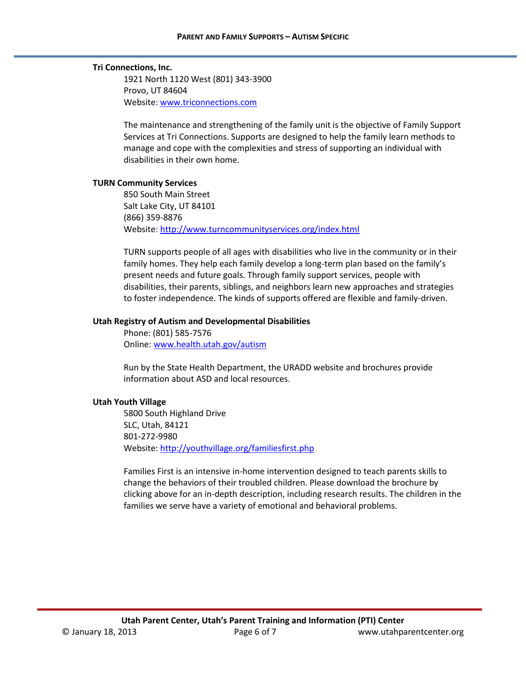# **Tri Connections, Inc.**

1921 North 1120 West (801) 343-3900 Provo, UT 84604 Website[: www.triconnections.com](http://www.triconnections.com/)

The maintenance and strengthening of the family unit is the objective of Family Support Services at Tri Connections. Supports are designed to help the family learn methods to manage and cope with the complexities and stress of supporting an individual with disabilities in their own home.

# **TURN Community Services**

850 South Main Street Salt Lake City, UT 84101 (866) 359-8876 Website[: http://www.turncommunityservices.org/index.html](http://www.turncommunityservices.org/index.html)

TURN supports people of all ages with disabilities who live in the community or in their family homes. They help each family develop a long-term plan based on the family's present needs and future goals. Through family support services, people with disabilities, their parents, siblings, and neighbors learn new approaches and strategies to foster independence. The kinds of supports offered are flexible and family-driven.

# **Utah Registry of Autism and Developmental Disabilities**

Phone: (801) 585-7576 Online: www.health.utah.gov/autism

Run by the State Health Department, the URADD website and brochures provide information about ASD and local resources.

# **Utah Youth Village**

5800 South Highland Drive SLC, Utah, 84121 801-272-9980 Website[: http://youthvillage.org/familiesfirst.php](http://youthvillage.org/familiesfirst.php)

Families First is an intensive in-home intervention designed to teach parents skills to change the behaviors of their troubled children. Please download the brochure by clicking above for an in-depth description, including research results. The children in the families we serve have a variety of emotional and behavioral problems.